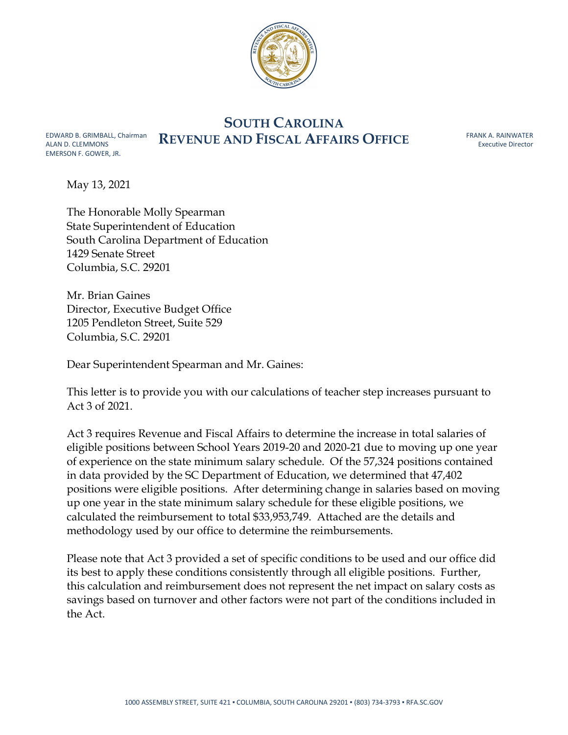

# SOUTH CAROLINA EDWARD B. GRIMBALL, Chairman REVENUE AND FISCAL AFFAIRS OFFICE

FRANK A. RAINWATER Executive Director

May 13, 2021

ALAN D. CLEMMONS EMERSON F. GOWER, JR.

> The Honorable Molly Spearman State Superintendent of Education South Carolina Department of Education 1429 Senate Street Columbia, S.C. 29201

Mr. Brian Gaines Director, Executive Budget Office 1205 Pendleton Street, Suite 529 Columbia, S.C. 29201

Dear Superintendent Spearman and Mr. Gaines:

This letter is to provide you with our calculations of teacher step increases pursuant to Act 3 of 2021.

Act 3 requires Revenue and Fiscal Affairs to determine the increase in total salaries of eligible positions between School Years 2019-20 and 2020-21 due to moving up one year of experience on the state minimum salary schedule. Of the 57,324 positions contained in data provided by the SC Department of Education, we determined that 47,402 positions were eligible positions. After determining change in salaries based on moving up one year in the state minimum salary schedule for these eligible positions, we calculated the reimbursement to total \$33,953,749. Attached are the details and methodology used by our office to determine the reimbursements.

Please note that Act 3 provided a set of specific conditions to be used and our office did its best to apply these conditions consistently through all eligible positions. Further, this calculation and reimbursement does not represent the net impact on salary costs as savings based on turnover and other factors were not part of the conditions included in the Act.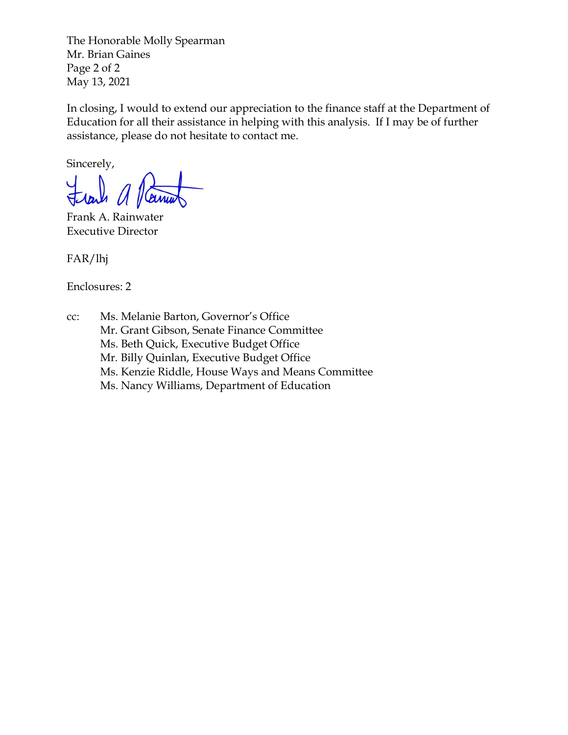The Honorable Molly Spearman Mr. Brian Gaines Page 2 of 2 May 13, 2021

In closing, I would to extend our appreciation to the finance staff at the Department of Education for all their assistance in helping with this analysis. If I may be of further assistance, please do not hesitate to contact me.

Sincerely,

Frank A. Rainwater Executive Director

FAR/lhj

Enclosures: 2

cc: Ms. Melanie Barton, Governor's Office Mr. Grant Gibson, Senate Finance Committee Ms. Beth Quick, Executive Budget Office Mr. Billy Quinlan, Executive Budget Office Ms. Kenzie Riddle, House Ways and Means Committee Ms. Nancy Williams, Department of Education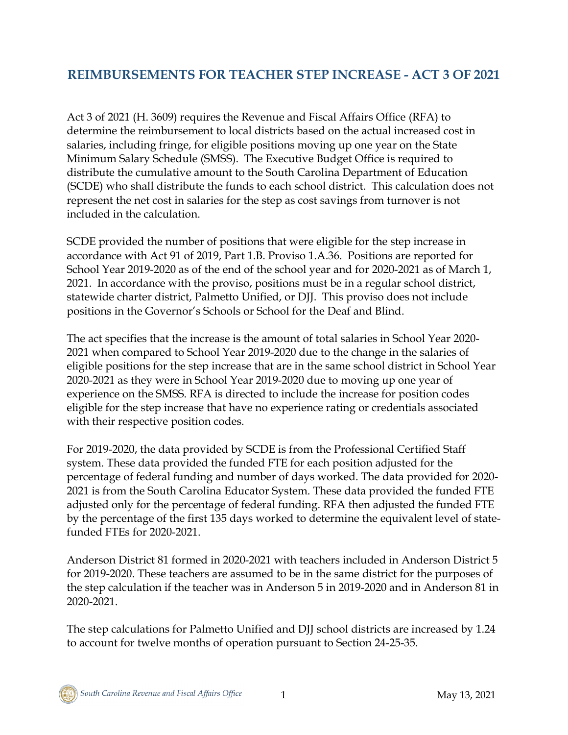## **REIMBURSEMENTS FOR TEACHER STEP INCREASE - ACT 3 OF 2021**

Act 3 of 2021 (H. 3609) requires the Revenue and Fiscal Affairs Office (RFA) to determine the reimbursement to local districts based on the actual increased cost in salaries, including fringe, for eligible positions moving up one year on the State Minimum Salary Schedule (SMSS). The Executive Budget Office is required to distribute the cumulative amount to the South Carolina Department of Education (SCDE) who shall distribute the funds to each school district. This calculation does not represent the net cost in salaries for the step as cost savings from turnover is not included in the calculation.

SCDE provided the number of positions that were eligible for the step increase in accordance with Act 91 of 2019, Part 1.B. Proviso 1.A.36. Positions are reported for School Year 2019-2020 as of the end of the school year and for 2020-2021 as of March 1, 2021. In accordance with the proviso, positions must be in a regular school district, statewide charter district, Palmetto Unified, or DJJ. This proviso does not include positions in the Governor's Schools or School for the Deaf and Blind.

The act specifies that the increase is the amount of total salaries in School Year 2020- 2021 when compared to School Year 2019-2020 due to the change in the salaries of eligible positions for the step increase that are in the same school district in School Year 2020-2021 as they were in School Year 2019-2020 due to moving up one year of experience on the SMSS. RFA is directed to include the increase for position codes eligible for the step increase that have no experience rating or credentials associated with their respective position codes.

For 2019-2020, the data provided by SCDE is from the Professional Certified Staff system. These data provided the funded FTE for each position adjusted for the percentage of federal funding and number of days worked. The data provided for 2020- 2021 is from the South Carolina Educator System. These data provided the funded FTE adjusted only for the percentage of federal funding. RFA then adjusted the funded FTE by the percentage of the first 135 days worked to determine the equivalent level of statefunded FTEs for 2020-2021.

Anderson District 81 formed in 2020-2021 with teachers included in Anderson District 5 for 2019-2020. These teachers are assumed to be in the same district for the purposes of the step calculation if the teacher was in Anderson 5 in 2019-2020 and in Anderson 81 in 2020-2021.

The step calculations for Palmetto Unified and DJJ school districts are increased by 1.24 to account for twelve months of operation pursuant to Section 24-25-35.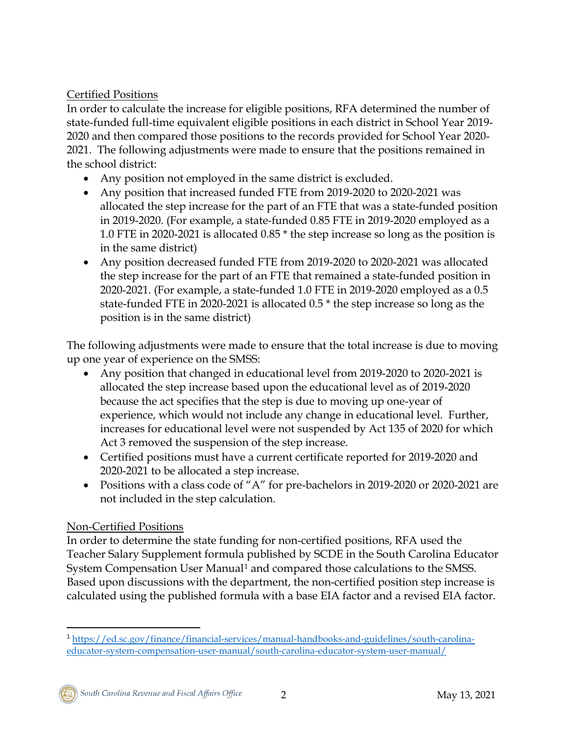### Certified Positions

In order to calculate the increase for eligible positions, RFA determined the number of state-funded full-time equivalent eligible positions in each district in School Year 2019- 2020 and then compared those positions to the records provided for School Year 2020- 2021. The following adjustments were made to ensure that the positions remained in the school district:

- Any position not employed in the same district is excluded.
- Any position that increased funded FTE from 2019-2020 to 2020-2021 was allocated the step increase for the part of an FTE that was a state-funded position in 2019-2020. (For example, a state-funded 0.85 FTE in 2019-2020 employed as a 1.0 FTE in 2020-2021 is allocated 0.85 \* the step increase so long as the position is in the same district)
- Any position decreased funded FTE from 2019-2020 to 2020-2021 was allocated the step increase for the part of an FTE that remained a state-funded position in 2020-2021. (For example, a state-funded 1.0 FTE in 2019-2020 employed as a 0.5 state-funded FTE in 2020-2021 is allocated 0.5 \* the step increase so long as the position is in the same district)

The following adjustments were made to ensure that the total increase is due to moving up one year of experience on the SMSS:

- Any position that changed in educational level from 2019-2020 to 2020-2021 is allocated the step increase based upon the educational level as of 2019-2020 because the act specifies that the step is due to moving up one-year of experience, which would not include any change in educational level. Further, increases for educational level were not suspended by Act 135 of 2020 for which Act 3 removed the suspension of the step increase.
- Certified positions must have a current certificate reported for 2019-2020 and 2020-2021 to be allocated a step increase.
- Positions with a class code of "A" for pre-bachelors in 2019-2020 or 2020-2021 are not included in the step calculation.

### Non-Certified Positions

In order to determine the state funding for non-certified positions, RFA used the Teacher Salary Supplement formula published by SCDE in the South Carolina Educator System Compensation User Manual<sup>[1](#page-3-0)</sup> and compared those calculations to the SMSS. Based upon discussions with the department, the non-certified position step increase is calculated using the published formula with a base EIA factor and a revised EIA factor.

<span id="page-3-0"></span> <sup>1</sup> [https://ed.sc.gov/finance/financial-services/manual-handbooks-and-guidelines/south-carolina](https://ed.sc.gov/finance/financial-services/manual-handbooks-and-guidelines/south-carolina-educator-system-compensation-user-manual/south-carolina-educator-system-user-manual/)[educator-system-compensation-user-manual/south-carolina-educator-system-user-manual/](https://ed.sc.gov/finance/financial-services/manual-handbooks-and-guidelines/south-carolina-educator-system-compensation-user-manual/south-carolina-educator-system-user-manual/)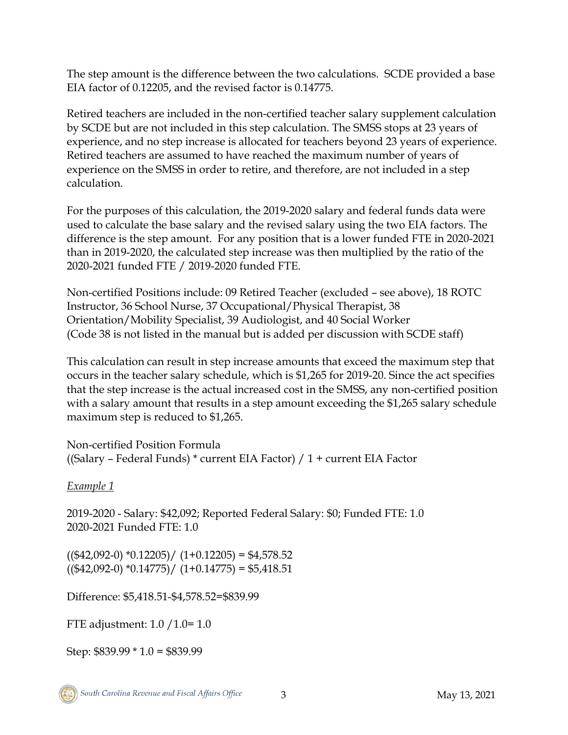The step amount is the difference between the two calculations. SCDE provided a base EIA factor of 0.12205, and the revised factor is 0.14775.

Retired teachers are included in the non-certified teacher salary supplement calculation by SCDE but are not included in this step calculation. The SMSS stops at 23 years of experience, and no step increase is allocated for teachers beyond 23 years of experience. Retired teachers are assumed to have reached the maximum number of years of experience on the SMSS in order to retire, and therefore, are not included in a step calculation.

For the purposes of this calculation, the 2019-2020 salary and federal funds data were used to calculate the base salary and the revised salary using the two EIA factors. The difference is the step amount. For any position that is a lower funded FTE in 2020-2021 than in 2019-2020, the calculated step increase was then multiplied by the ratio of the 2020-2021 funded FTE / 2019-2020 funded FTE.

Non-certified Positions include: 09 Retired Teacher (excluded – see above), 18 ROTC Instructor, 36 School Nurse, 37 Occupational/Physical Therapist, 38 Orientation/Mobility Specialist, 39 Audiologist, and 40 Social Worker (Code 38 is not listed in the manual but is added per discussion with SCDE staff)

This calculation can result in step increase amounts that exceed the maximum step that occurs in the teacher salary schedule, which is \$1,265 for 2019-20. Since the act specifies that the step increase is the actual increased cost in the SMSS, any non-certified position with a salary amount that results in a step amount exceeding the \$1,265 salary schedule maximum step is reduced to \$1,265.

Non-certified Position Formula ((Salary – Federal Funds) \* current EIA Factor) / 1 + current EIA Factor

*Example 1*

2019-2020 - Salary: \$42,092; Reported Federal Salary: \$0; Funded FTE: 1.0 2020-2021 Funded FTE: 1.0

 $((\$42,092-0) *0.12205) / (1+0.12205) = \$4,578.52$  $((\$42,092-0) *0.14775) / (1+0.14775) = \$5,418.51$ 

Difference: \$5,418.51-\$4,578.52=\$839.99

FTE adjustment: 1.0 /1.0= 1.0

Step: \$839.99 \* 1.0 = \$839.99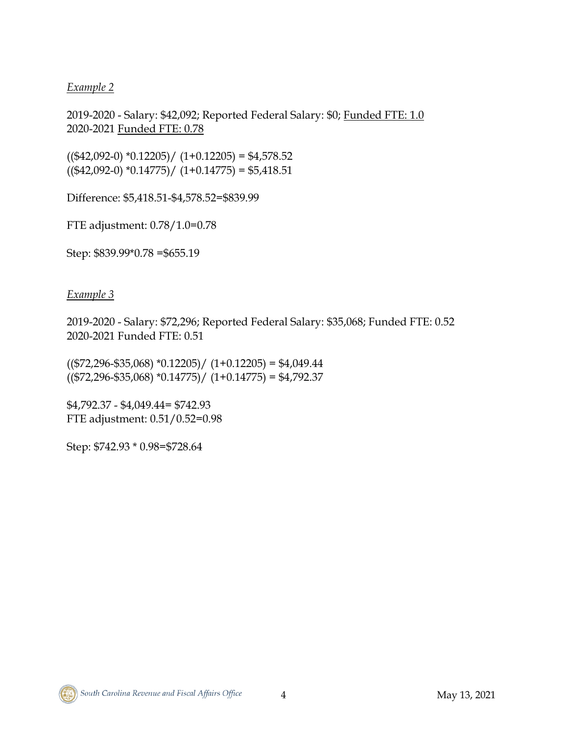#### *Example 2*

2019-2020 - Salary: \$42,092; Reported Federal Salary: \$0; Funded FTE: 1.0 2020-2021 Funded FTE: 0.78

 $((\$42,092-0)$  \*0.12205)/  $(1+0.12205) = \$4,578.52$  $((\$42,092-0) *0.14775) / (1+0.14775) = $5,418.51$ 

Difference: \$5,418.51-\$4,578.52=\$839.99

FTE adjustment: 0.78/1.0=0.78

Step: \$839.99\*0.78 =\$655.19

*Example 3*

2019-2020 - Salary: \$72,296; Reported Federal Salary: \$35,068; Funded FTE: 0.52 2020-2021 Funded FTE: 0.51

 $((\$72,296 - \$35,068) *0.12205) / (1+0.12205) = \$4,049.44$  $((\$72,296-\$35,068)*0.14775) / (1+0.14775) = \$4,792.37$ 

\$4,792.37 - \$4,049.44= \$742.93 FTE adjustment: 0.51/0.52=0.98

Step: \$742.93 \* 0.98=\$728.64

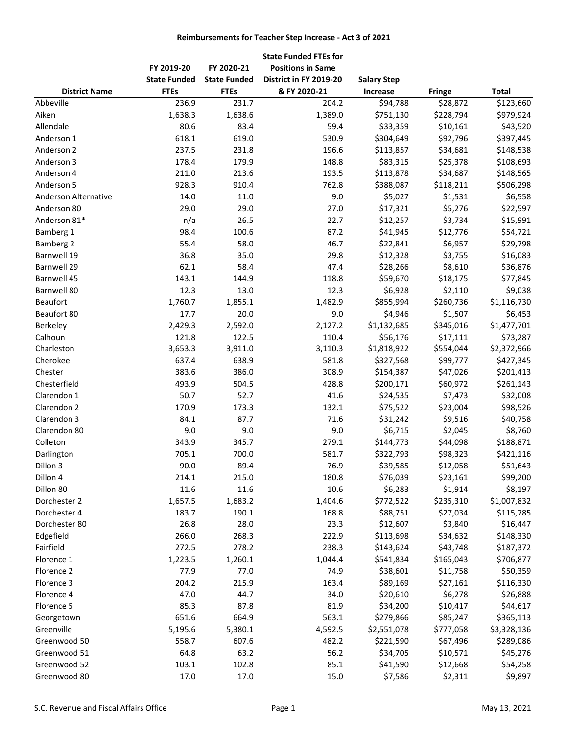#### **Reimbursements for Teacher Step Increase - Act 3 of 2021**

|                      |                     |                     | <b>State Funded FTEs for</b> |                    |               |              |
|----------------------|---------------------|---------------------|------------------------------|--------------------|---------------|--------------|
|                      | FY 2019-20          | FY 2020-21          | <b>Positions in Same</b>     |                    |               |              |
|                      | <b>State Funded</b> | <b>State Funded</b> | District in FY 2019-20       | <b>Salary Step</b> |               |              |
| <b>District Name</b> | <b>FTEs</b>         | <b>FTEs</b>         | & FY 2020-21                 | Increase           | <b>Fringe</b> | <b>Total</b> |
| Abbeville            | 236.9               | 231.7               | 204.2                        | \$94,788           | \$28,872      | \$123,660    |
| Aiken                | 1,638.3             | 1,638.6             | 1,389.0                      | \$751,130          | \$228,794     | \$979,924    |
| Allendale            | 80.6                | 83.4                | 59.4                         | \$33,359           | \$10,161      | \$43,520     |
| Anderson 1           | 618.1               | 619.0               | 530.9                        | \$304,649          | \$92,796      | \$397,445    |
| Anderson 2           | 237.5               | 231.8               | 196.6                        | \$113,857          | \$34,681      | \$148,538    |
| Anderson 3           | 178.4               | 179.9               | 148.8                        | \$83,315           | \$25,378      | \$108,693    |
| Anderson 4           | 211.0               | 213.6               | 193.5                        | \$113,878          | \$34,687      | \$148,565    |
| Anderson 5           | 928.3               | 910.4               | 762.8                        | \$388,087          | \$118,211     | \$506,298    |
| Anderson Alternative | 14.0                | 11.0                | 9.0                          | \$5,027            | \$1,531       | \$6,558      |
| Anderson 80          | 29.0                | 29.0                | 27.0                         | \$17,321           | \$5,276       | \$22,597     |
| Anderson 81*         | n/a                 | 26.5                | 22.7                         | \$12,257           | \$3,734       | \$15,991     |
| Bamberg 1            | 98.4                | 100.6               | 87.2                         | \$41,945           | \$12,776      | \$54,721     |
| Bamberg 2            | 55.4                | 58.0                | 46.7                         | \$22,841           | \$6,957       | \$29,798     |
| Barnwell 19          | 36.8                | 35.0                | 29.8                         | \$12,328           | \$3,755       | \$16,083     |
| <b>Barnwell 29</b>   | 62.1                | 58.4                | 47.4                         | \$28,266           | \$8,610       | \$36,876     |
| Barnwell 45          | 143.1               | 144.9               | 118.8                        | \$59,670           | \$18,175      | \$77,845     |
| Barnwell 80          | 12.3                | 13.0                | 12.3                         | \$6,928            | \$2,110       | \$9,038      |
| <b>Beaufort</b>      | 1,760.7             | 1,855.1             | 1,482.9                      | \$855,994          | \$260,736     | \$1,116,730  |
| Beaufort 80          | 17.7                | 20.0                | 9.0                          | \$4,946            | \$1,507       | \$6,453      |
| Berkeley             | 2,429.3             | 2,592.0             | 2,127.2                      | \$1,132,685        | \$345,016     | \$1,477,701  |
| Calhoun              | 121.8               | 122.5               | 110.4                        | \$56,176           | \$17,111      | \$73,287     |
| Charleston           | 3,653.3             | 3,911.0             | 3,110.3                      | \$1,818,922        | \$554,044     | \$2,372,966  |
| Cherokee             | 637.4               | 638.9               | 581.8                        | \$327,568          | \$99,777      | \$427,345    |
| Chester              | 383.6               | 386.0               | 308.9                        | \$154,387          | \$47,026      | \$201,413    |
| Chesterfield         | 493.9               | 504.5               | 428.8                        | \$200,171          | \$60,972      | \$261,143    |
| Clarendon 1          | 50.7                | 52.7                | 41.6                         | \$24,535           | \$7,473       | \$32,008     |
| Clarendon 2          | 170.9               | 173.3               | 132.1                        | \$75,522           | \$23,004      | \$98,526     |
| Clarendon 3          | 84.1                | 87.7                | 71.6                         | \$31,242           | \$9,516       | \$40,758     |
| Clarendon 80         | 9.0                 | 9.0                 | 9.0                          | \$6,715            | \$2,045       | \$8,760      |
| Colleton             | 343.9               | 345.7               | 279.1                        | \$144,773          | \$44,098      | \$188,871    |
| Darlington           | 705.1               | 700.0               | 581.7                        | \$322,793          | \$98,323      | \$421,116    |
| Dillon 3             | 90.0                | 89.4                | 76.9                         | \$39,585           | \$12,058      | \$51,643     |
|                      |                     |                     |                              |                    |               |              |
| Dillon 4             | 214.1               | 215.0               | 180.8<br>10.6                | \$76,039           | \$23,161      | \$99,200     |
| Dillon 80            | 11.6                | 11.6                |                              | \$6,283            | \$1,914       | \$8,197      |
| Dorchester 2         | 1,657.5             | 1,683.2             | 1,404.6                      | \$772,522          | \$235,310     | \$1,007,832  |
| Dorchester 4         | 183.7               | 190.1               | 168.8                        | \$88,751           | \$27,034      | \$115,785    |
| Dorchester 80        | 26.8                | 28.0                | 23.3                         | \$12,607           | \$3,840       | \$16,447     |
| Edgefield            | 266.0               | 268.3               | 222.9                        | \$113,698          | \$34,632      | \$148,330    |
| Fairfield            | 272.5               | 278.2               | 238.3                        | \$143,624          | \$43,748      | \$187,372    |
| Florence 1           | 1,223.5             | 1,260.1             | 1,044.4                      | \$541,834          | \$165,043     | \$706,877    |
| Florence 2           | 77.9                | 77.0                | 74.9                         | \$38,601           | \$11,758      | \$50,359     |
| Florence 3           | 204.2               | 215.9               | 163.4                        | \$89,169           | \$27,161      | \$116,330    |
| Florence 4           | 47.0                | 44.7                | 34.0                         | \$20,610           | \$6,278       | \$26,888     |
| Florence 5           | 85.3                | 87.8                | 81.9                         | \$34,200           | \$10,417      | \$44,617     |
| Georgetown           | 651.6               | 664.9               | 563.1                        | \$279,866          | \$85,247      | \$365,113    |
| Greenville           | 5,195.6             | 5,380.1             | 4,592.5                      | \$2,551,078        | \$777,058     | \$3,328,136  |
| Greenwood 50         | 558.7               | 607.6               | 482.2                        | \$221,590          | \$67,496      | \$289,086    |
| Greenwood 51         | 64.8                | 63.2                | 56.2                         | \$34,705           | \$10,571      | \$45,276     |
| Greenwood 52         | 103.1               | 102.8               | 85.1                         | \$41,590           | \$12,668      | \$54,258     |
| Greenwood 80         | 17.0                | 17.0                | 15.0                         | \$7,586            | \$2,311       | \$9,897      |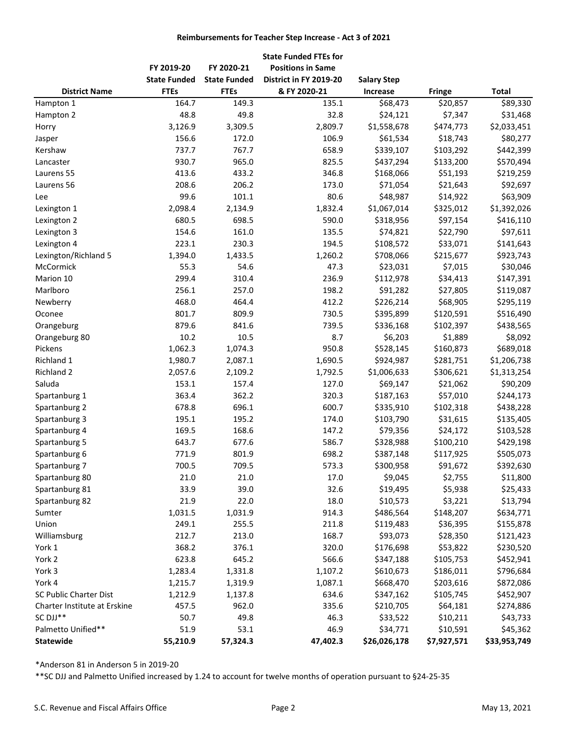#### **Reimbursements for Teacher Step Increase - Act 3 of 2021**

|                                          |                     |                     | <b>State Funded FTEs for</b> |                    |             |              |
|------------------------------------------|---------------------|---------------------|------------------------------|--------------------|-------------|--------------|
|                                          | FY 2019-20          | FY 2020-21          | <b>Positions in Same</b>     |                    |             |              |
|                                          | <b>State Funded</b> | <b>State Funded</b> | District in FY 2019-20       | <b>Salary Step</b> |             |              |
| <b>District Name</b>                     | <b>FTEs</b>         | <b>FTEs</b>         | & FY 2020-21                 | <b>Increase</b>    | Fringe      | <b>Total</b> |
| Hampton 1                                | 164.7               | 149.3               | 135.1                        | \$68,473           | \$20,857    | \$89,330     |
| Hampton 2                                | 48.8                | 49.8                | 32.8                         | \$24,121           | \$7,347     | \$31,468     |
| Horry                                    | 3,126.9             | 3,309.5             | 2,809.7                      | \$1,558,678        | \$474,773   | \$2,033,451  |
| Jasper                                   | 156.6               | 172.0               | 106.9                        | \$61,534           | \$18,743    | \$80,277     |
| Kershaw                                  | 737.7               | 767.7               | 658.9                        | \$339,107          | \$103,292   | \$442,399    |
| Lancaster                                | 930.7               | 965.0               | 825.5                        | \$437,294          | \$133,200   | \$570,494    |
| Laurens 55                               | 413.6               | 433.2               | 346.8                        | \$168,066          | \$51,193    | \$219,259    |
| Laurens 56                               | 208.6               | 206.2               | 173.0                        | \$71,054           | \$21,643    | \$92,697     |
| Lee                                      | 99.6                | 101.1               | 80.6                         | \$48,987           | \$14,922    | \$63,909     |
| Lexington 1                              | 2,098.4             | 2,134.9             | 1,832.4                      | \$1,067,014        | \$325,012   | \$1,392,026  |
| Lexington 2                              | 680.5               | 698.5               | 590.0                        | \$318,956          | \$97,154    | \$416,110    |
| Lexington 3                              | 154.6               | 161.0               | 135.5                        | \$74,821           | \$22,790    | \$97,611     |
| Lexington 4                              | 223.1               | 230.3               | 194.5                        | \$108,572          | \$33,071    | \$141,643    |
| Lexington/Richland 5                     | 1,394.0             | 1,433.5             | 1,260.2                      | \$708,066          | \$215,677   | \$923,743    |
| McCormick                                | 55.3                | 54.6                | 47.3                         | \$23,031           | \$7,015     | \$30,046     |
| Marion 10                                | 299.4               | 310.4               | 236.9                        | \$112,978          | \$34,413    | \$147,391    |
| Marlboro                                 | 256.1               | 257.0               | 198.2                        | \$91,282           | \$27,805    | \$119,087    |
| Newberry                                 | 468.0               | 464.4               | 412.2                        | \$226,214          | \$68,905    | \$295,119    |
| Oconee                                   | 801.7               | 809.9               | 730.5                        | \$395,899          | \$120,591   | \$516,490    |
| Orangeburg                               | 879.6               | 841.6               | 739.5                        | \$336,168          | \$102,397   | \$438,565    |
| Orangeburg 80                            | 10.2                | 10.5                | 8.7                          | \$6,203            | \$1,889     | \$8,092      |
| Pickens                                  | 1,062.3             | 1,074.3             | 950.8                        | \$528,145          | \$160,873   | \$689,018    |
| Richland 1                               | 1,980.7             | 2,087.1             | 1,690.5                      | \$924,987          | \$281,751   | \$1,206,738  |
| Richland 2                               | 2,057.6             | 2,109.2             | 1,792.5                      | \$1,006,633        | \$306,621   | \$1,313,254  |
| Saluda                                   | 153.1               | 157.4               | 127.0                        | \$69,147           | \$21,062    | \$90,209     |
| Spartanburg 1                            | 363.4               | 362.2               | 320.3                        | \$187,163          | \$57,010    | \$244,173    |
| Spartanburg 2                            | 678.8               | 696.1               | 600.7                        | \$335,910          | \$102,318   | \$438,228    |
| Spartanburg 3                            | 195.1               | 195.2               | 174.0                        | \$103,790          | \$31,615    | \$135,405    |
| Spartanburg 4                            | 169.5               | 168.6               | 147.2                        | \$79,356           | \$24,172    | \$103,528    |
| Spartanburg 5                            | 643.7               | 677.6               | 586.7                        | \$328,988          | \$100,210   | \$429,198    |
| Spartanburg 6                            | 771.9               | 801.9               | 698.2                        | \$387,148          | \$117,925   | \$505,073    |
| Spartanburg 7                            | 700.5               | 709.5               | 573.3                        | \$300,958          | \$91,672    | \$392,630    |
| Spartanburg 80                           | 21.0                | 21.0                | 17.0                         | \$9,045            | \$2,755     | \$11,800     |
| Spartanburg 81                           | 33.9                | 39.0                | 32.6                         | \$19,495           | \$5,938     | \$25,433     |
| Spartanburg 82                           | 21.9                | 22.0                | 18.0                         | \$10,573           | \$3,221     | \$13,794     |
| Sumter                                   | 1,031.5             | 1,031.9             | 914.3                        | \$486,564          | \$148,207   | \$634,771    |
| Union                                    | 249.1               | 255.5               | 211.8                        | \$119,483          | \$36,395    | \$155,878    |
| Williamsburg                             | 212.7               | 213.0               | 168.7                        | \$93,073           | \$28,350    | \$121,423    |
| York 1                                   | 368.2               | 376.1               | 320.0                        | \$176,698          | \$53,822    | \$230,520    |
| York 2                                   | 623.8               | 645.2               | 566.6                        | \$347,188          | \$105,753   | \$452,941    |
| York 3                                   | 1,283.4             | 1,331.8             | 1,107.2                      | \$610,673          | \$186,011   | \$796,684    |
| York 4                                   |                     | 1,319.9             | 1,087.1                      | \$668,470          | \$203,616   |              |
|                                          | 1,215.7             |                     |                              |                    |             | \$872,086    |
| SC Public Charter Dist                   | 1,212.9             | 1,137.8             | 634.6                        | \$347,162          | \$105,745   | \$452,907    |
| Charter Institute at Erskine<br>SC DJJ** | 457.5               | 962.0               | 335.6                        | \$210,705          | \$64,181    | \$274,886    |
|                                          | 50.7                | 49.8                | 46.3<br>46.9                 | \$33,522           | \$10,211    | \$43,733     |
| Palmetto Unified**<br><b>Statewide</b>   | 51.9                | 53.1                |                              | \$34,771           | \$10,591    | \$45,362     |
|                                          | 55,210.9            | 57,324.3            | 47,402.3                     | \$26,026,178       | \$7,927,571 | \$33,953,749 |

\*Anderson 81 in Anderson 5 in 2019-20

\*\*SC DJJ and Palmetto Unified increased by 1.24 to account for twelve months of operation pursuant to §24-25-35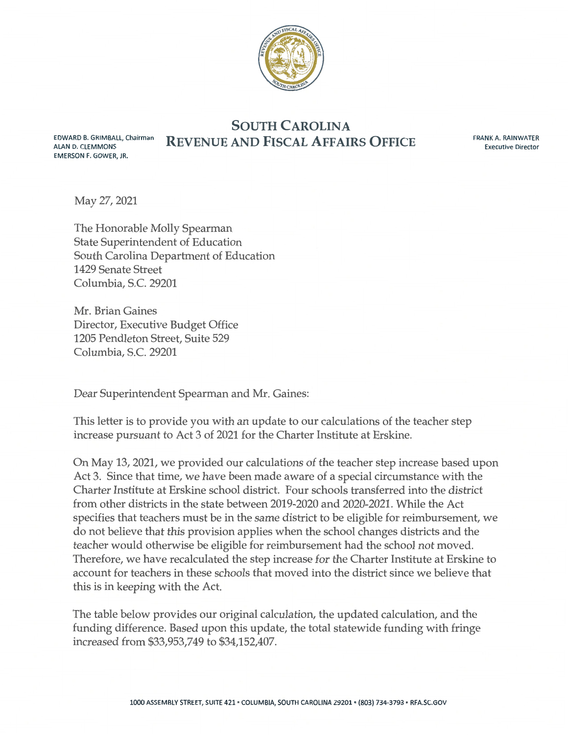

**SOUTH CAROLINA REVENUE AND FISCAL AFFAIRS OFFICE** 

FRANK A. RAINWATER **Executive Director** 

May 27, 2021

EDWARD B. GRIMBALL, Chairman

**ALAN D. CLEMMONS** 

**EMERSON F. GOWER, JR.** 

The Honorable Molly Spearman State Superintendent of Education South Carolina Department of Education 1429 Senate Street Columbia, S.C. 29201

Mr. Brian Gaines Director, Executive Budget Office 1205 Pendleton Street, Suite 529 Columbia, S.C. 29201

Dear Superintendent Spearman and Mr. Gaines:

This letter is to provide you with an update to our calculations of the teacher step increase pursuant to Act 3 of 2021 for the Charter Institute at Erskine.

On May 13, 2021, we provided our calculations of the teacher step increase based upon Act 3. Since that time, we have been made aware of a special circumstance with the Charter Institute at Erskine school district. Four schools transferred into the district from other districts in the state between 2019-2020 and 2020-2021. While the Act specifies that teachers must be in the same district to be eligible for reimbursement, we do not believe that this provision applies when the school changes districts and the teacher would otherwise be eligible for reimbursement had the school not moved. Therefore, we have recalculated the step increase for the Charter Institute at Erskine to account for teachers in these schools that moved into the district since we believe that this is in keeping with the Act.

The table below provides our original calculation, the updated calculation, and the funding difference. Based upon this update, the total statewide funding with fringe increased from \$33,953,749 to \$34,152,407.